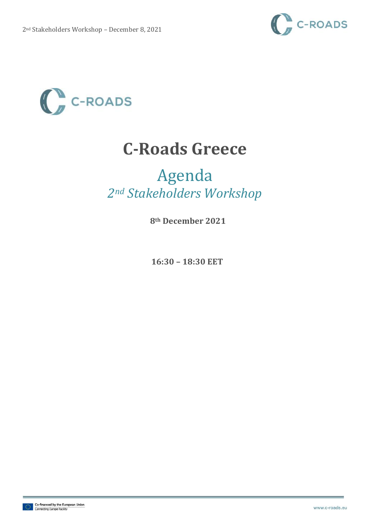



## **C-Roads Greece**

## Agenda *2nd Stakeholders Workshop*

**8th December 2021**

**16:30 – 18:30 EET**